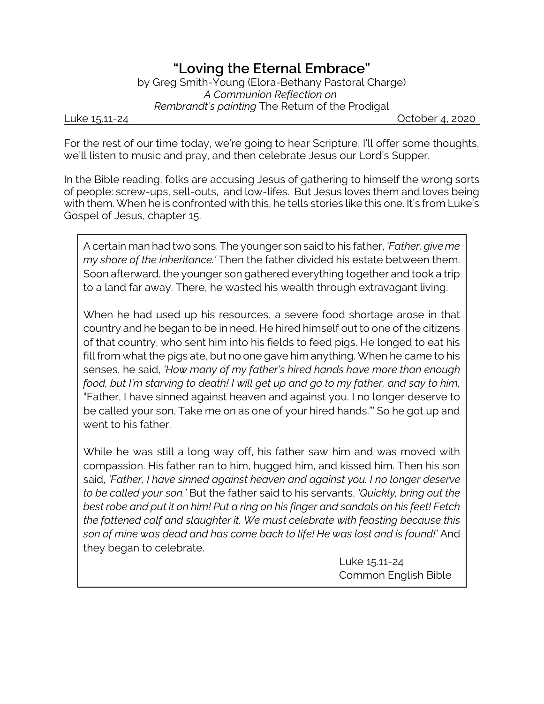## **"Loving the Eternal Embrace"**

by Greg Smith-Young (Elora-Bethany Pastoral Charge) *A Communion Reflection on Rembrandt's painting* The Return of the Prodigal

Luke 15.11-24 October 4, 2020

For the rest of our time today, we're going to hear Scripture, I'll offer some thoughts, we'll listen to music and pray, and then celebrate Jesus our Lord's Supper.

In the Bible reading, folks are accusing Jesus of gathering to himself the wrong sorts of people: screw-ups, sell-outs, and low-lifes. But Jesus loves them and loves being with them. When he is confronted with this, he tells stories like this one. It's from Luke's Gospel of Jesus, chapter 15.

A certain man had two sons. The younger son said to his father, *'Father, give me my share of the inheritance.'* Then the father divided his estate between them. Soon afterward, the younger son gathered everything together and took a trip to a land far away. There, he wasted his wealth through extravagant living.

When he had used up his resources, a severe food shortage arose in that country and he began to be in need. He hired himself out to one of the citizens of that country, who sent him into his fields to feed pigs. He longed to eat his fill from what the pigs ate, but no one gave him anything. When he came to his senses, he said, *'How many of my father's hired hands have more than enough food, but I'm starving to death! I will get up and go to my father, and say to him,* "Father, I have sinned against heaven and against you. I no longer deserve to be called your son. Take me on as one of your hired hands."' So he got up and went to his father.

While he was still a long way off, his father saw him and was moved with compassion. His father ran to him, hugged him, and kissed him. Then his son said, *'Father, I have sinned against heaven and against you. I no longer deserve to be called your son.'* But the father said to his servants, *'Quickly, bring out the best robe and put it on him! Put a ring on his finger and sandals on his feet! Fetch the fattened calf and slaughter it. We must celebrate with feasting because this son of mine was dead and has come back to life! He was lost and is found!'* And they began to celebrate.

> Luke 15.11-24 Common English Bible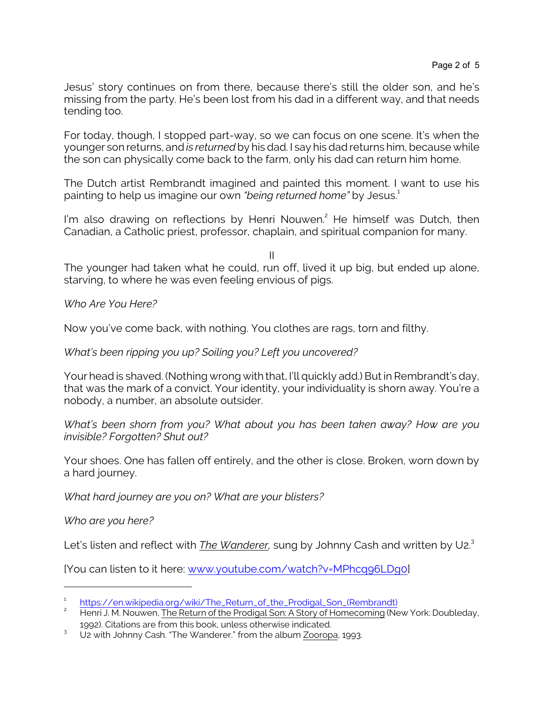Jesus' story continues on from there, because there's still the older son, and he's missing from the party. He's been lost from his dad in a different way, and that needs tending too.

For today, though, I stopped part-way, so we can focus on one scene. It's when the younger son returns, and *is returned* by his dad. I say his dad returns him, because while the son can physically come back to the farm, only his dad can return him home.

The Dutch artist Rembrandt imagined and painted this moment. I want to use his painting to help us imagine our own *"being returned home"* by Jesus.<sup>1</sup>

I'm also drawing on reflections by Henri Nouwen.<sup>2</sup> He himself was Dutch, then Canadian, a Catholic priest, professor, chaplain, and spiritual companion for many.

II The younger had taken what he could, run off, lived it up big, but ended up alone, starving, to where he was even feeling envious of pigs.

*Who Are You Here?*

Now you've come back, with nothing. You clothes are rags, torn and filthy.

*What's been ripping you up? Soiling you? Left you uncovered?*

Your head is shaved. (Nothing wrong with that, I'll quickly add.) But in Rembrandt's day, that was the mark of a convict. Your identity, your individuality is shorn away. You're a nobody, a number, an absolute outsider.

*What's been shorn from you? What about you has been taken away? How are you invisible? Forgotten? Shut out?*

Your shoes. One has fallen off entirely, and the other is close. Broken, worn down by a hard journey.

*What hard journey are you on? What are your blisters?*

*Who are you here?*

Let's listen and reflect with *The Wanderer*, sung by Johnny Cash and written by U2.<sup>3</sup>

[You can listen to it here: [www.youtube.com/watch?v=MPhcq96LDg0](https://www.youtube.com/watch?v=MPhcq96LDg0)]

<sup>1</sup> [https://en.wikipedia.org/wiki/The\\_Return\\_of\\_the\\_Prodigal\\_Son\\_\(Rembrandt\)](https://en.wikipedia.org/wiki/The_Return_of_the_Prodigal_Son_(Rembrandt))

<sup>2</sup> Henri J. M. Nouwen, The Return of the Prodigal Son: A Story of Homecoming (New York: Doubleday, 1992). Citations are from this book, unless otherwise indicated.

<sup>&</sup>lt;sup>3</sup> U2 with Johnny Cash. "The Wanderer." from the album Zooropa, 1993.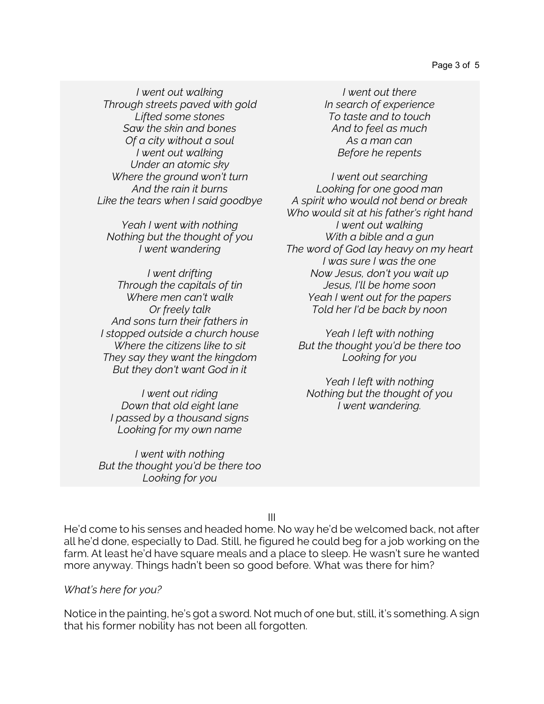*I went out walking Through streets paved with gold Lifted some stones Saw the skin and bones Of a city without a soul I went out walking Under an atomic sky Where the ground won't turn And the rain it burns Like the tears when I said goodbye*

*Yeah I went with nothing Nothing but the thought of you I went wandering*

*I went drifting Through the capitals of tin Where men can't walk Or freely talk And sons turn their fathers in I stopped outside a church house Where the citizens like to sit They say they want the kingdom But they don't want God in it*

*I went out riding Down that old eight lane I passed by a thousand signs Looking for my own name*

*I went with nothing But the thought you'd be there too Looking for you*

*I went out there In search of experience To taste and to touch And to feel as much As a man can Before he repents*

*I went out searching Looking for one good man A spirit who would not bend or break Who would sit at his father's right hand I went out walking With a bible and a gun The word of God lay heavy on my heart I was sure I was the one Now Jesus, don't you wait up Jesus, I'll be home soon Yeah I went out for the papers Told her I'd be back by noon*

*Yeah I left with nothing But the thought you'd be there too Looking for you*

*Yeah I left with nothing Nothing but the thought of you I went wandering.*

III

He'd come to his senses and headed home. No way he'd be welcomed back, not after all he'd done, especially to Dad. Still, he figured he could beg for a job working on the farm. At least he'd have square meals and a place to sleep. He wasn't sure he wanted more anyway. Things hadn't been so good before. What was there for him?

## *What's here for you?*

Notice in the painting, he's got a sword. Not much of one but, still, it's something. A sign that his former nobility has not been all forgotten.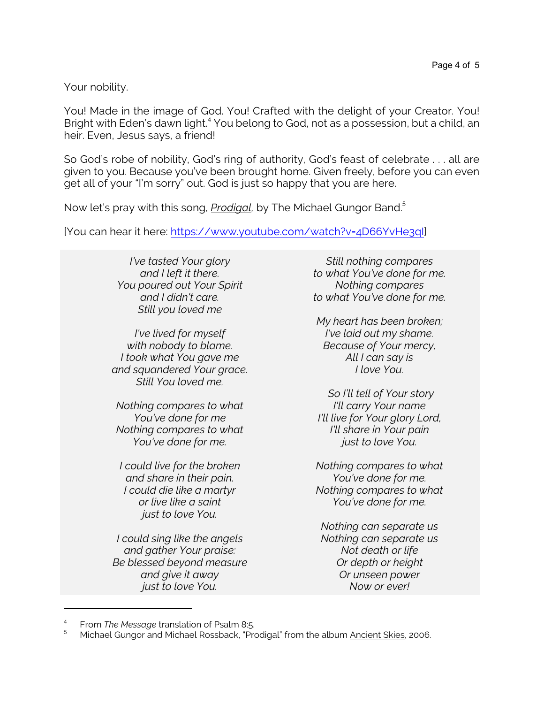Your nobility.

You! Made in the image of God. You! Crafted with the delight of your Creator. You! Bright with Eden's dawn light.<sup>4</sup> You belong to God, not as a possession, but a child, an heir. Even, Jesus says, a friend!

So God's robe of nobility, God's ring of authority, God's feast of celebrate . . . all are given to you. Because you've been brought home. Given freely, before you can even get all of your "I'm sorry" out. God is just so happy that you are here.

Now let's pray with this song, *Prodigal,* by The Michael Gungor Band.<sup>5</sup>

[You can hear it here:<https://www.youtube.com/watch?v=4D66YvHe3qI>]

*I've tasted Your glory and I left it there. You poured out Your Spirit and I didn't care. Still you loved me*

*I've lived for myself with nobody to blame. I took what You gave me and squandered Your grace. Still You loved me.*

*Nothing compares to what You've done for me Nothing compares to what You've done for me.*

*I could live for the broken and share in their pain. I could die like a martyr or live like a saint just to love You.*

*I could sing like the angels and gather Your praise: Be blessed beyond measure and give it away just to love You.*

*Still nothing compares to what You've done for me. Nothing compares to what You've done for me.*

*My heart has been broken; I've laid out my shame. Because of Your mercy, All I can say is I love You.*

 *So I'll tell of Your story I'll carry Your name I'll live for Your glory Lord, I'll share in Your pain just to love You.*

*Nothing compares to what You've done for me. Nothing compares to what You've done for me.*

*Nothing can separate us Nothing can separate us Not death or life Or depth or height Or unseen power Now or ever!*

<sup>4</sup> From *The Message* translation of Psalm 8:5.

<sup>5</sup> Michael Gungor and Michael Rossback, "Prodigal" from the album Ancient Skies, 2006.